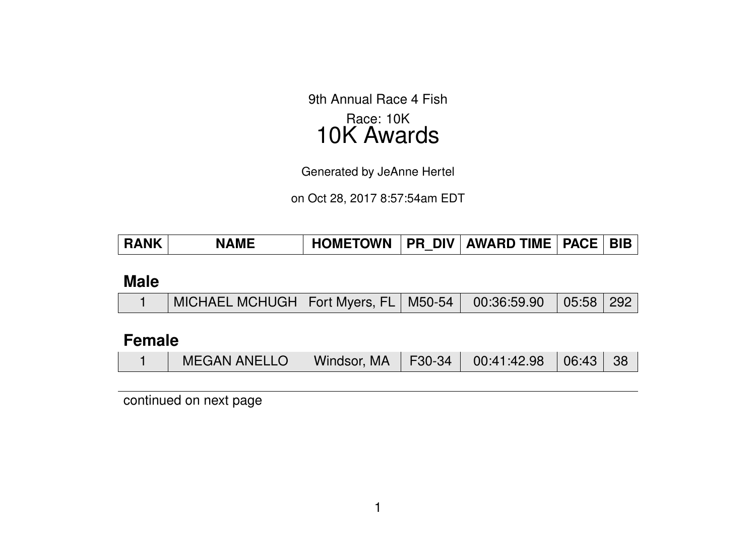9th Annual Race 4 Fish Race: 10K 10K Awards

Generated by JeAnne Hertel

on Oct 28, 2017 8:57:54am EDT

| <b>RANK</b> | <b>NAME</b> | <b>HOMETOWN</b> | <b>PR DIV  </b> | AWARD TIME | <b>PACE</b> | <b>BIB</b> |
|-------------|-------------|-----------------|-----------------|------------|-------------|------------|
|-------------|-------------|-----------------|-----------------|------------|-------------|------------|

#### **Male**

|  | │ MICHAEL MCHUGH   Fort Myers, FL   M50-54   00:36:59.90   05:58   292 |  |  |  |  |  |
|--|------------------------------------------------------------------------|--|--|--|--|--|
|--|------------------------------------------------------------------------|--|--|--|--|--|

### **Female**

|  | <b>MEGAN ANELLO</b> |  |  | Windsor, MA   F30-34   00:41:42.98   06:43   38 |  |  |
|--|---------------------|--|--|-------------------------------------------------|--|--|
|--|---------------------|--|--|-------------------------------------------------|--|--|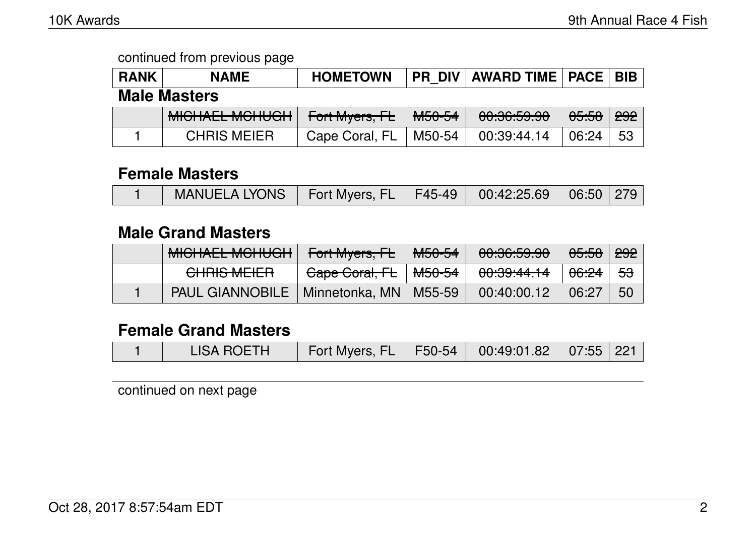| <b>RANK</b>         | <b>NAME</b>                               | <b>HOMETOWN</b> |                   | <b>PR DIV   AWARD TIME   PACE  </b> |                  | <b>BIB</b> |
|---------------------|-------------------------------------------|-----------------|-------------------|-------------------------------------|------------------|------------|
| <b>Male Masters</b> |                                           |                 |                   |                                     |                  |            |
|                     | MIQUATI MOULIQU<br><b>MIDITALL MUTUUT</b> | Fort Myers, FL  | <del>M50-54</del> | 00:36:59.90                         | <del>05:58</del> | 292        |
|                     | <b>CHRIS MEIER</b>                        | Cape Coral, FL  | M50-54            | 00:39:44.14                         | 06:24            | 53         |

#### **Female Masters**

|  | MANUELA LYONS   Fort Myers, FL   F45-49   00:42:25.69   06:50   279 |  |  |  |  |  |
|--|---------------------------------------------------------------------|--|--|--|--|--|
|--|---------------------------------------------------------------------|--|--|--|--|--|

### **Male Grand Masters**

| MIQUATI MOULOU<br><b>MIULIALL MUITUUTT</b> | Fort Myers, FL | <del>M50-54</del> | 00.20.50,00<br><del>uu.uu.uu</del> | 05:58            | <del>292</del> |
|--------------------------------------------|----------------|-------------------|------------------------------------|------------------|----------------|
| <b>CHRIS MEIER</b>                         | Gape Goral, FL | <del>M50-54</del> | 00:39:44.14                        | <del>06:24</del> | <del>53</del>  |
| PAUL GIANNOBILE   Minnetonka, MN   M55-59  |                |                   | 00:40:00.12                        | 06:27            | <b>50</b>      |

# **Female Grand Masters**

|  | <b>LISA ROETH</b> | Fort Myers, FL   F50-54   00:49:01.82   07:55   221 |  |  |  |  |
|--|-------------------|-----------------------------------------------------|--|--|--|--|
|--|-------------------|-----------------------------------------------------|--|--|--|--|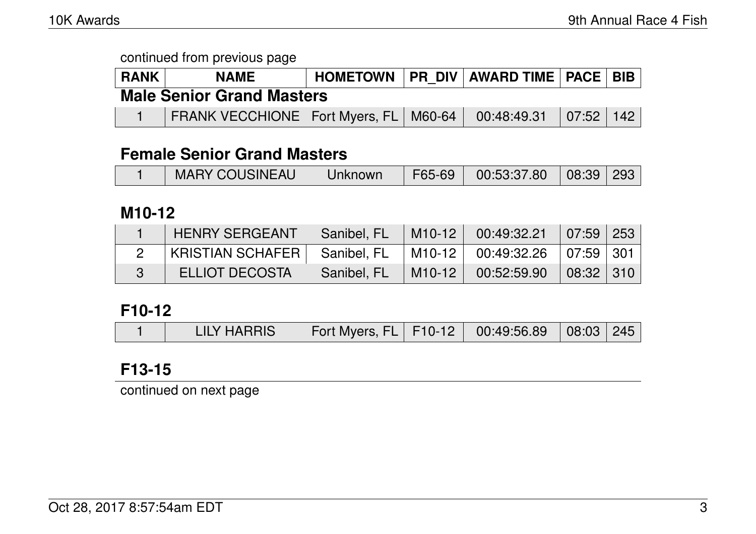|                                  | HOMETOWN   PR DIV   AWARD TIME   PACE   BIB  <br><b>RANK</b><br><b>NAME</b> |  |  |  |  |  |  |  |  |
|----------------------------------|-----------------------------------------------------------------------------|--|--|--|--|--|--|--|--|
| <b>Male Senior Grand Masters</b> |                                                                             |  |  |  |  |  |  |  |  |
|                                  | FRANK VECCHIONE   Fort Myers, FL   M60-64   00:48:49.31   07:52   142       |  |  |  |  |  |  |  |  |

### **Female Senior Grand Masters**

|  |  | <b>MARY COUSINEAU</b> | Unknown |  | $\mid$ F65-69 $\mid$ 00:53:37.80 $\mid$ 08:39 293 |  |  |
|--|--|-----------------------|---------|--|---------------------------------------------------|--|--|
|--|--|-----------------------|---------|--|---------------------------------------------------|--|--|

### **M10-12**

| <b>HENRY SERGEANT</b>          | Sanibel, FL | $\mid$ M10-12 $\mid$ 00:49:32.21 $\mid$ 07:59 253        |  |
|--------------------------------|-------------|----------------------------------------------------------|--|
| KRISTIAN SCHAFER   Sanibel, FL |             | $\mid$ M10-12 $\mid$ 00:49:32.26 $\mid$ 07:59 $\mid$ 301 |  |
| <b>ELLIOT DECOSTA</b>          | Sanibel, FL | M10-12   00:52:59.90   08:32   310                       |  |

#### **F10-12**

|  | <b>LILY HARRIS</b> | Fort Myers, FL   F10-12   00:49:56.89   08:03   245 |  |  |  |  |
|--|--------------------|-----------------------------------------------------|--|--|--|--|
|--|--------------------|-----------------------------------------------------|--|--|--|--|

# **F13-15**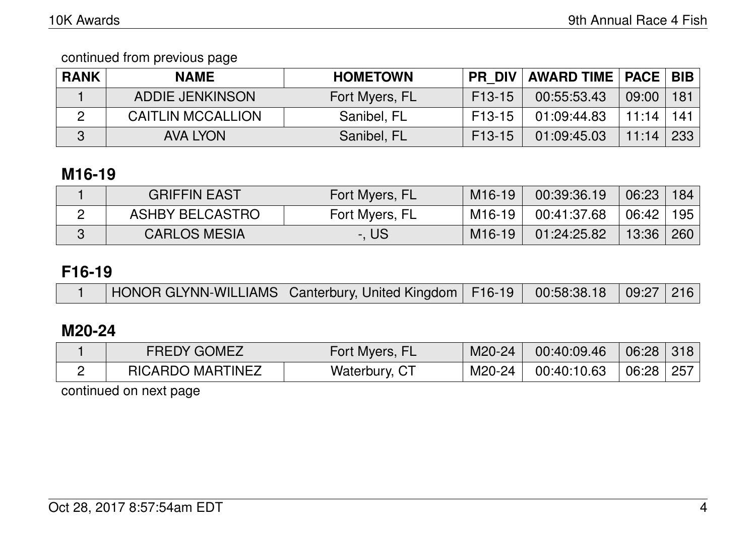continued from previous page

| <b>RANK</b> | <b>NAME</b>              | <b>HOMETOWN</b> |                     | <b>PR DIV AWARD TIME   PACE   BIB  </b> |       |     |
|-------------|--------------------------|-----------------|---------------------|-----------------------------------------|-------|-----|
|             | ADDIE JENKINSON          | Fort Myers, FL  | F <sub>13</sub> -15 | 00:55:53.43                             | 09:00 | 181 |
|             | <b>CAITLIN MCCALLION</b> | Sanibel, FL     | F13-15              | 01:09:44.83                             | 11:14 | 141 |
| 3           | <b>AVA LYON</b>          | Sanibel, FL     | $F13-15$            | 01:09:45.03                             | 11:14 | 233 |

# **M16-19**

| <b>GRIFFIN EAST</b>    | Fort Myers, FL | M <sub>16</sub> -19 | 00:39:36.19 | 06:23 184 |     |
|------------------------|----------------|---------------------|-------------|-----------|-----|
| <b>ASHBY BELCASTRO</b> | Fort Myers, FL | M16-19              | 00:41:37.68 | 06:42     | 195 |
| <b>CARLOS MESIA</b>    | -. US:         | M <sub>16</sub> -19 | 01:24:25.82 | 13:36     | 260 |

# **F16-19**

|  |  | HONOR GLYNN-WILLIAMS   Canterbury, United Kingdom   F16-19   00:58:38.18   09:27   216 |  |  |  |  |
|--|--|----------------------------------------------------------------------------------------|--|--|--|--|
|--|--|----------------------------------------------------------------------------------------|--|--|--|--|

# **M20-24**

| <b>FREDY GOMEZ</b>      | Fort Myers, FL | M20-24 | 00:40:09.46 | 06:28 318     |  |
|-------------------------|----------------|--------|-------------|---------------|--|
| <b>RICARDO MARTINEZ</b> | Waterbury, CT  | M20-24 | 00:40:10.63 | $06:28$   257 |  |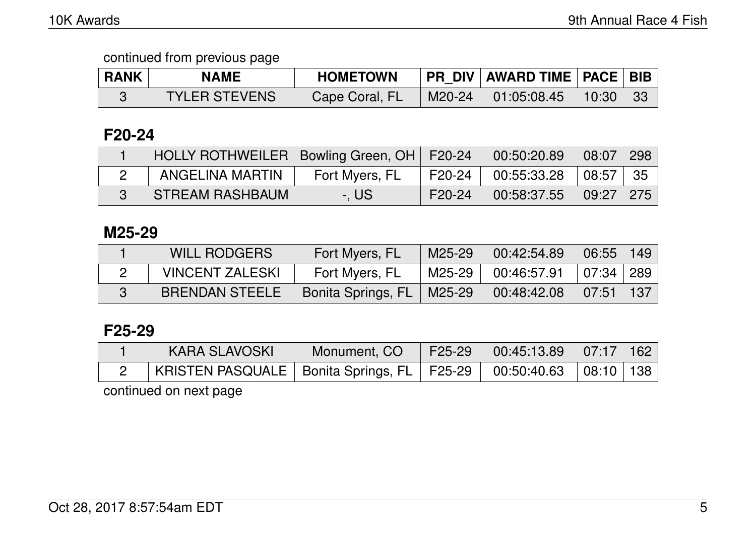| <b>RANK</b> | <b>NAME</b>          | <b>HOMETOWN</b> |        | PR_DIV   AWARD TIME   PACE   BIB |            |  |
|-------------|----------------------|-----------------|--------|----------------------------------|------------|--|
|             | <b>TYLER STEVENS</b> | Cape Coral, FL  | M20-24 | $\setminus$ 01:05:08.45          | $10:30$ 33 |  |

# **F20-24**

| HOLLY ROTHWEILER   Bowling Green, OH   F20-24 |                |        | 00:50:20.89 | $08:07$   298 |  |
|-----------------------------------------------|----------------|--------|-------------|---------------|--|
| ANGELINA MARTIN                               | Fort Myers, FL | F20-24 | 00:55:33.28 | $108:57$   35 |  |
| <b>STREAM RASHBAUM</b>                        | $-$ . US       | F20-24 | 00:58:37.55 | $09:27$ 275   |  |

#### **M25-29**

| <b>WILL RODGERS</b>    | Fort Myers, FL              | M25-29 | 00:42:54.89                              | $06:55$   149              |  |
|------------------------|-----------------------------|--------|------------------------------------------|----------------------------|--|
| <b>VINCENT ZALESKI</b> | Fort Myers, FL              | M25-29 | $00:46:57.91$ $\mid 07:34 \mid 289 \mid$ |                            |  |
| <b>BRENDAN STEELE</b>  | Bonita Springs, FL   M25-29 |        | 00:48:42.08                              | $\mid 07:51 \mid 137 \mid$ |  |

### **F25-29**

| KARA SLAVOSKI                                                              | Monument, CO | F25-29   00:45:13.89   07:17   162 |  |
|----------------------------------------------------------------------------|--------------|------------------------------------|--|
| KRISTEN PASQUALE   Bonita Springs, FL   F25-29   00:50:40.63   08:10   138 |              |                                    |  |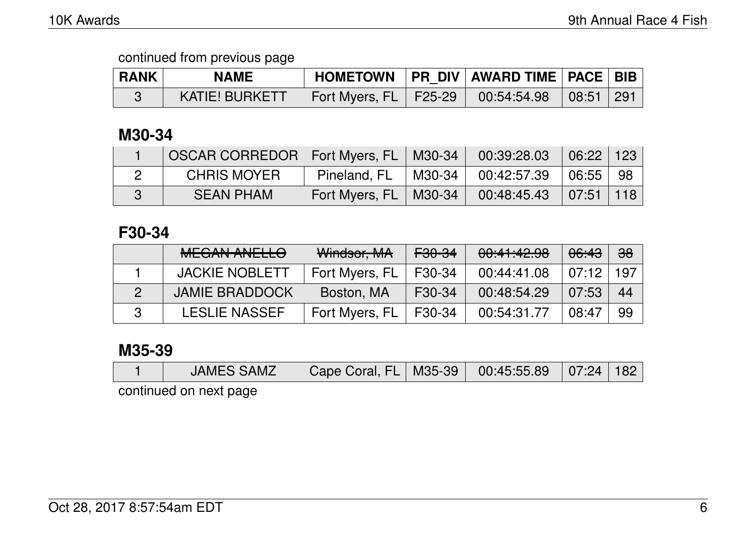| <b>RANK</b> | <b>NAME</b>           |                         | HOMETOWN   PR DIV   AWARD TIME   PACE   BIB |  |
|-------------|-----------------------|-------------------------|---------------------------------------------|--|
|             | <b>KATIE! BURKETT</b> | Fort Myers, FL   F25-29 | $\vert$ 00:54:54.98 $\vert$ 08:51 291       |  |

# **M30-34**

|              | OSCAR CORREDOR   Fort Myers, FL   M30-34 |                               | 00:39:28.03            | 06:22 123                     |  |
|--------------|------------------------------------------|-------------------------------|------------------------|-------------------------------|--|
|              | <b>CHRIS MOYER</b>                       | Pineland, $FL$   M30-34 $\pm$ | $00:42:57.39$ 06:55 98 |                               |  |
| $\mathbf{3}$ | <b>SEAN PHAM</b>                         | Fort Myers, FL   M30-34       | 00:48:45.43            | $\mid 07:51 \mid 118 \rangle$ |  |

### **F30-34**

| MFCANI ANIILLA<br><b>MEUAIV AIVELLU</b> | Windsor, MA    | F30-34              | 00:41:42.98 | <del>06:43</del> | ക്ക |
|-----------------------------------------|----------------|---------------------|-------------|------------------|-----|
| <b>JACKIE NOBLETT</b>                   | Fort Myers, FL | F30-34              | 00:44:41.08 | 07:12            | 197 |
| <b>JAMIE BRADDOCK</b>                   | Boston, MA     | F <sub>30</sub> -34 | 00:48:54.29 | 07:53            | 44  |
| <b>LESLIE NASSEF</b>                    | Fort Myers, FL | F30-34              | 00:54:31.77 | 08:47            | 99  |

### **M35-39**

|  |  | <b>JAMES SAMZ</b> | Cape Coral, FL   M35-39   00:45:55.89   07:24   182 |  |  |  |  |
|--|--|-------------------|-----------------------------------------------------|--|--|--|--|
|--|--|-------------------|-----------------------------------------------------|--|--|--|--|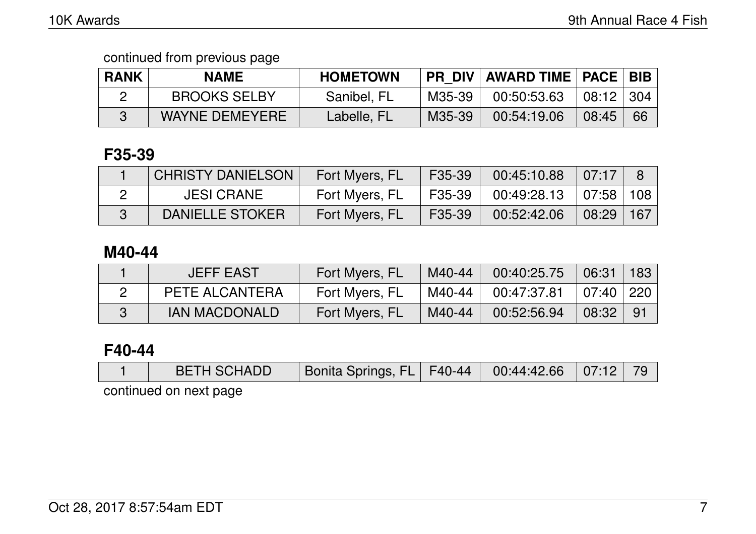| <b>RANK</b> | <b>NAME</b>           | <b>HOMETOWN</b> |        | <b>PR DIV   AWARD TIME   PACE   BIB  </b> |             |    |
|-------------|-----------------------|-----------------|--------|-------------------------------------------|-------------|----|
|             | <b>BROOKS SELBY</b>   | Sanibel, FL     | M35-39 | 00:50:53.63                               | $08:12$ 304 |    |
|             | <b>WAYNE DEMEYERE</b> | Labelle, FL     | M35-39 | 00:54:19.06                               | 08:45       | 66 |

### **F35-39**

| <b>CHRISTY DANIELSON</b> | Fort Myers, FL | F35-39   | 00:45:10.88 | 07:17           |  |
|--------------------------|----------------|----------|-------------|-----------------|--|
| <b>JESI CRANE</b>        | Fort Myers, FL | F35-39 I | 00:49:28.13 | ∣ 07:58 ∣ 108 ∣ |  |
| DANIELLE STOKER          | Fort Myers, FL | F35-39   | 00:52:42.06 | $08:29$   167   |  |

### **M40-44**

| <b>JEFF EAST</b> | Fort Myers, FL | M40-44 | 00:40:25.75 | 06:31       | 183 |
|------------------|----------------|--------|-------------|-------------|-----|
| PETE ALCANTERA   | Fort Myers, FL | M40-44 | 00:47:37.81 | $07:40$ 220 |     |
| IAN MACDONALD    | Fort Myers, FL | M40-44 | 00:52:56.94 | 08:32       | -91 |

### **F40-44**

| <b>BETH SCHADD</b> | Bonita Springs, FL   F40-44   00:44:42.66   07:12   79 |  |  |
|--------------------|--------------------------------------------------------|--|--|
|                    |                                                        |  |  |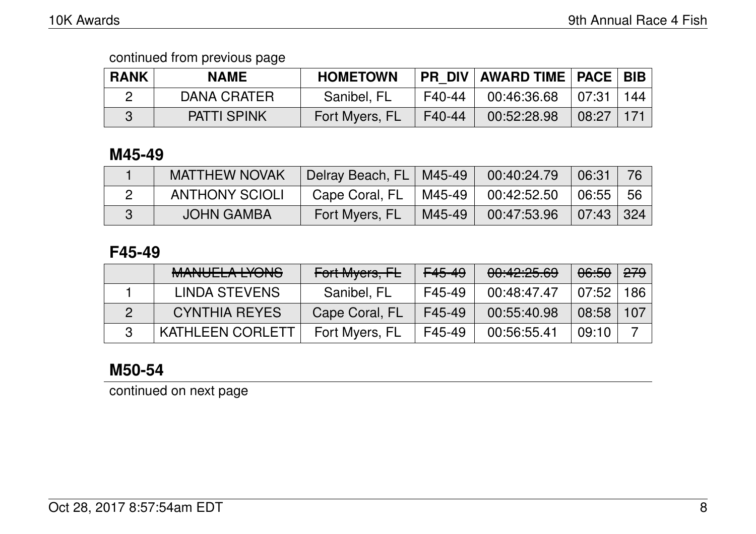| <b>RANK</b> | <b>NAME</b>        | <b>HOMETOWN</b> |          | <b>PR DIV AWARD TIME   PACE   BIB  </b> |       |     |
|-------------|--------------------|-----------------|----------|-----------------------------------------|-------|-----|
|             | DANA CRATER        | Sanibel, FL     | $F40-44$ | $\frac{1}{2}$ 00:46:36.68 07:31         |       | 144 |
|             | <b>PATTI SPINK</b> | Fort Myers, FL  | F40-44   | 00:52:28.98                             | 08:27 | 171 |

### **M45-49**

| <b>MATTHEW NOVAK</b>  | Delray Beach, FL   M45-49 |        | 00:40:24.79        | 06:31                     |      |
|-----------------------|---------------------------|--------|--------------------|---------------------------|------|
| <b>ANTHONY SCIOLI</b> | Cape Coral, FL            |        | M45-49 00:42:52.50 | 06:55                     | - 56 |
| <b>JOHN GAMBA</b>     | Fort Myers, FL            | M45-49 | 00:47:53.96        | $\vert$ 07:43 $\vert$ 324 |      |

### **F45-49**

| MANILIEL A IVONIC<br><u>MARULLA LIUNU</u> | Fort Myers, FL | F <sub>45-49</sub> | 00:42:25.69 | 06:50 | <del>279</del> |
|-------------------------------------------|----------------|--------------------|-------------|-------|----------------|
| LINDA STEVENS                             | Sanibel, FL    | F45-49             | 00:48:47.47 | 07:52 | 186            |
| <b>CYNTHIA REYES</b>                      | Cape Coral, FL | F45-49             | 00:55:40.98 | 08:58 | 107            |
| <b>KATHLEEN CORLETT</b>                   | Fort Myers, FL | F45-49             | 00:56:55.41 | 09:10 |                |

# **M50-54**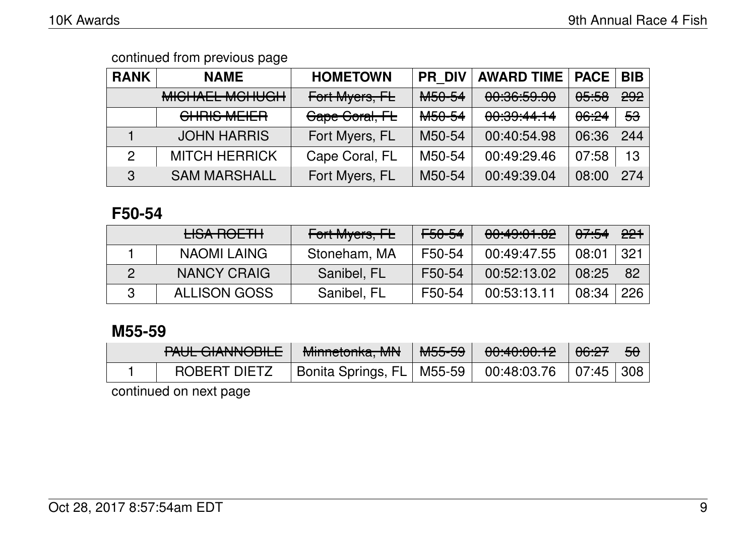| <b>RANK</b>    | <b>NAME</b>                                | <b>HOMETOWN</b> | <b>PR DIV</b>      | <b>AWARD TIME</b>                                                                                                                                              | <b>PACE</b> | <b>BIB</b>    |
|----------------|--------------------------------------------|-----------------|--------------------|----------------------------------------------------------------------------------------------------------------------------------------------------------------|-------------|---------------|
|                | MICHAEL MOULICH<br><b>MIULIALL MUTUULI</b> | Fort Myers, FL  | M <sub>50-54</sub> | 00.20.50,00<br><del>uu.uu.uu</del>                                                                                                                             | 05:58       | 292           |
|                | [<br><u>UTINU WILILIT</u>                  | Cape Coral, FL  | M <sub>50-54</sub> | $\begin{array}{ccccccccccccccccc}\n\hline\n\text{A} & \text{A} & \text{A} & \text{A} & \text{A} & \text{A} & \text{A}\n\end{array}$<br>00.00. <del>11.11</del> | 06:24       | <del>53</del> |
|                | <b>JOHN HARRIS</b>                         | Fort Myers, FL  | M50-54             | 00:40:54.98                                                                                                                                                    | 06:36       | 244           |
| $\overline{2}$ | <b>MITCH HERRICK</b>                       | Cape Coral, FL  | M50-54             | 00:49:29.46                                                                                                                                                    | 07:58       | 13            |
| $\mathbf{3}$   | <b>SAM MARSHALL</b>                        | Fort Myers, FL  | M50-54             | 00:49:39.04                                                                                                                                                    | 08:00       | 274           |

### **F50-54**

| LICA DAFTIL<br><b>LIUA HUL ITT</b> | Fort Myers, FL | <del>F50-54</del> | 00:49:01.82 | 07:54 | <del>221</del> |
|------------------------------------|----------------|-------------------|-------------|-------|----------------|
| NAOMI LAING                        | Stoneham, MA   | F50-54            | 00:49:47.55 | 08:01 | 321            |
| NANCY CRAIG                        | Sanibel, FL    | F50-54            | 00:52:13.02 | 08:25 | 82             |
| <b>ALLISON GOSS</b>                | Sanibel, FL    | F50-54            | 00:53:13.11 | 08:34 | 226            |

### **M55-59**

| DALIL CIANNIADILE<br><b>TAUL UIAIWVUILE</b> | Minnatepha MNI<br><u>Millictuma, MIV</u> | MEEE<br>᠊ <del>ᠬᡂ᠊ᡂ</del> | 0.100010<br>700. <del>40.00.12</del>                                                                 | <del>06:27</del> | 50 |
|---------------------------------------------|------------------------------------------|---------------------------|------------------------------------------------------------------------------------------------------|------------------|----|
| <b>ROBERT DIETZ</b>                         | Bonita Springs, FL   M55-59              |                           | $\begin{array}{ c c c c c }\hline \text{00:48:03.76} & \text{07:45} & \text{308} \hline \end{array}$ |                  |    |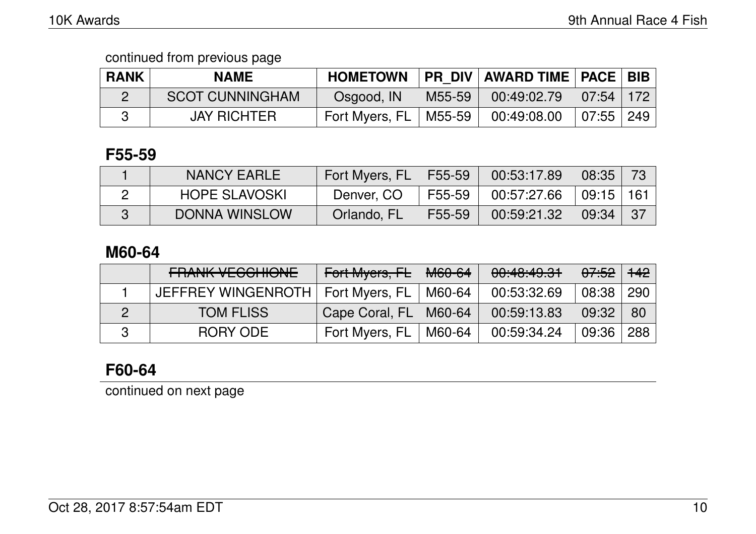| <b>RANK</b> | <b>NAME</b>            | <b>HOMETOWN</b> |        | PR_DIV   AWARD TIME   PACE   BIB                  |             |  |
|-------------|------------------------|-----------------|--------|---------------------------------------------------|-------------|--|
|             | <b>SCOT CUNNINGHAM</b> | Osgood, IN      | M55-59 | $\mid$ 00:49:02.79 $\mid$ 07:54 $\mid$ 172 $\mid$ |             |  |
|             | <b>JAY RICHTER</b>     | Fort Myers, FL  | M55-59 | 00:49:08.00                                       | $07:55$ 249 |  |

#### **F55-59**

| NANCY EARLE          | Fort Myers, FL | F55-59 | 00:53:17.89 | $\sqrt{08:35}$ |  |
|----------------------|----------------|--------|-------------|----------------|--|
| <b>HOPE SLAVOSKI</b> | Denver, CO     | F55-59 | 00:57:27.66 | $09:15$   161  |  |
| <b>DONNA WINSLOW</b> | Orlando, FL    | F55-59 | 00:59:21.32 | $\sqrt{09:34}$ |  |

### **M60-64**

| <b>FRANK VEGGHIONE</b>              | Fort Myers, FL          | <del>M60-64</del> | 00:40:49.31 | <del>07:52</del> | <del>142</del> |
|-------------------------------------|-------------------------|-------------------|-------------|------------------|----------------|
| JEFFREY WINGENROTH   Fort Myers, FL |                         | M60-64            | 00:53:32.69 | 08:38            | 290            |
| <b>TOM FLISS</b>                    | Cape Coral, FL   M60-64 |                   | 00:59:13.83 | 09:32            | -80            |
| RORY ODE                            | Fort Myers, FL          | M60-64            | 00:59:34.24 | 09:36            | 288            |

# **F60-64**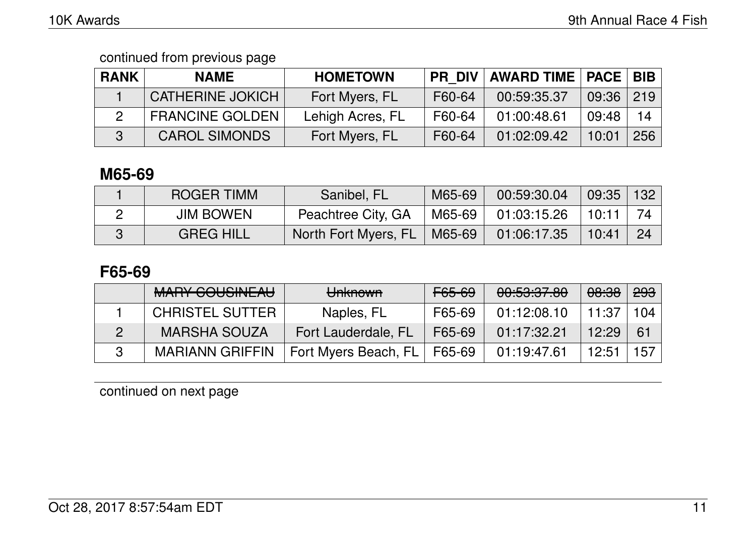| <b>RANK</b> | <b>NAME</b>             | <b>HOMETOWN</b>  | <b>PR DIV</b> | <b>AWARD TIME   PACE  </b> |       | BIB |
|-------------|-------------------------|------------------|---------------|----------------------------|-------|-----|
|             | <b>CATHERINE JOKICH</b> | Fort Myers, FL   | F60-64        | 00:59:35.37                | 09:36 | 219 |
|             | <b>FRANCINE GOLDEN</b>  | Lehigh Acres, FL | F60-64        | 01:00:48.61                | 09:48 | 14  |
|             | <b>CAROL SIMONDS</b>    | Fort Myers, FL   | F60-64        | 01:02:09.42                | 10:01 | 256 |

### **M65-69**

| <b>ROGER TIMM</b> | Sanibel, FL                   | M65-69   | 00:59:30.04                                                          | $09:35$   132     |    |
|-------------------|-------------------------------|----------|----------------------------------------------------------------------|-------------------|----|
| <b>JIM BOWEN</b>  | Peachtree City, GA            | 'M65-69∣ | $\begin{array}{ c c c c c c } \hline 01:03:15.26 \hline \end{array}$ | $^{\prime}$ 10:11 | 74 |
| <b>GREG HILL</b>  | North Fort Myers, FL   M65-69 |          | 01:06:17.35                                                          | 10:41             | 24 |

### **F65-69**

| <u>MADV COLICINIT ALL</u><br><b>MAILL OUUULAU</b> | <del>Unknown</del>   | <del>F65-69</del> | <u>AA.EA.A7 AA</u><br><del>uu.uu.uu</del> | <del>08:38</del> | <del>293</del> |
|---------------------------------------------------|----------------------|-------------------|-------------------------------------------|------------------|----------------|
| <b>CHRISTEL SUTTER</b>                            | Naples, FL           | F65-69            | 01:12:08.10                               | 11:37            | 104            |
| <b>MARSHA SOUZA</b>                               | Fort Lauderdale, FL  | F65-69            | 01:17:32.21                               | 12:29            | 61             |
| <b>MARIANN GRIFFIN</b>                            | Fort Myers Beach, FL | F65-69            | 01:19:47.61                               | 12:51            | 157            |